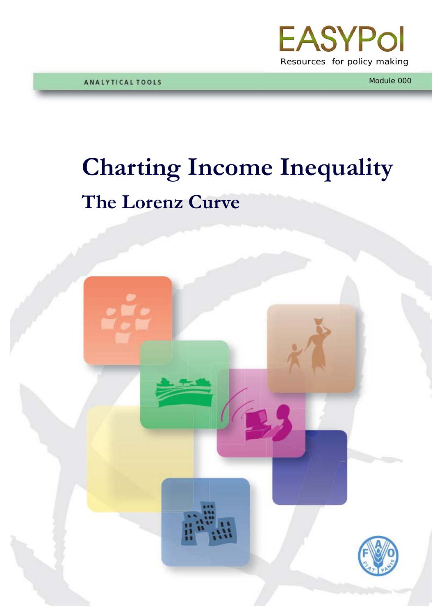

Module 000

## **Charting Income Inequality The Lorenz Curve**

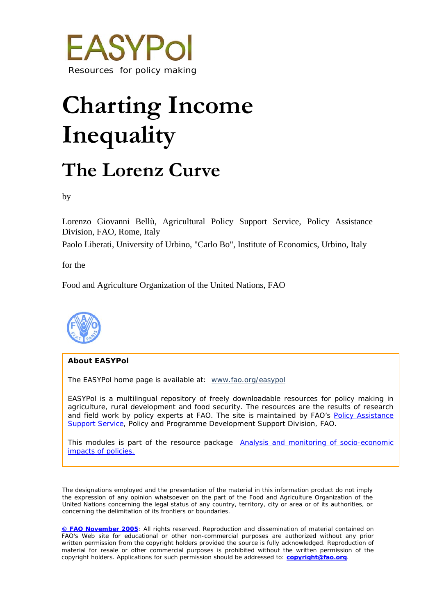

# **Charting Income Inequality**

### **The Lorenz Curve**

by

Lorenzo Giovanni Bellù, Agricultural Policy Support Service, Policy Assistance Division, FAO, Rome, Italy

Paolo Liberati, University of Urbino, "Carlo Bo", Institute of Economics, Urbino, Italy

for the

Food and Agriculture Organization of the United Nations, FAO



#### **About EASYPol**

The EASYPol home page is available at: *[www.fao.org/easypol](http://www.fao.org/easypol)*

EASYPol is a multilingual repository of freely downloadable resources for policy making in agriculture, rural development and food security. The resources are the results of research and field work by policy experts at FAO. The site is maintained by FAO's Policy Assistance [Support Service,](http://www.fao.org/tc/policy-support) Policy and Programme Development Support Division, FAO.

This modules is part of the resource package **Analysis and monitoring of socio-economic** [impacts of policies.](http://www.fao.org/easypol/output/browse_by_training_path.asp?Lchain=&id=303&id_cat=303&display=&first=&type=&latestrecords=&pub_id=303&abstr_type=&abstr=&menuitem=&ascdes=&ordenAnt=4&orden=4&boton=1&Direccion=4)

The designations employed and the presentation of the material in this information product do not imply the expression of any opinion whatsoever on the part of the Food and Agriculture Organization of the United Nations concerning the legal status of any country, territory, city or area or of its authorities, or concerning the delimitation of its frontiers or boundaries.

**[© FAO November](http://www.fao.org/copyright_EN.htm) 2005**: All rights reserved. Reproduction and dissemination of material contained on FAO's Web site for educational or other non-commercial purposes are authorized without any prior written permission from the copyright holders provided the source is fully acknowledged. Reproduction of material for resale or other commercial purposes is prohibited without the written permission of the copyright holders. Applications for such permission should be addressed to: **[copyright@fao.org](mailto:copyright@fao.org)**.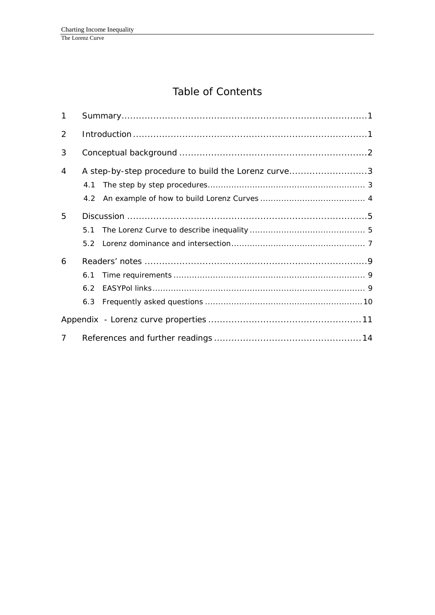### Table of Contents

| $\mathbf{1}$   |                                                     |  |  |  |  |
|----------------|-----------------------------------------------------|--|--|--|--|
| 2              |                                                     |  |  |  |  |
| 3              |                                                     |  |  |  |  |
| 4              | A step-by-step procedure to build the Lorenz curve3 |  |  |  |  |
|                | 4.1                                                 |  |  |  |  |
|                |                                                     |  |  |  |  |
| 5              |                                                     |  |  |  |  |
|                | 5.1                                                 |  |  |  |  |
|                | 52                                                  |  |  |  |  |
| 6              |                                                     |  |  |  |  |
|                | 6.1                                                 |  |  |  |  |
|                | 6.2                                                 |  |  |  |  |
|                | 6.3                                                 |  |  |  |  |
|                |                                                     |  |  |  |  |
| $\overline{7}$ |                                                     |  |  |  |  |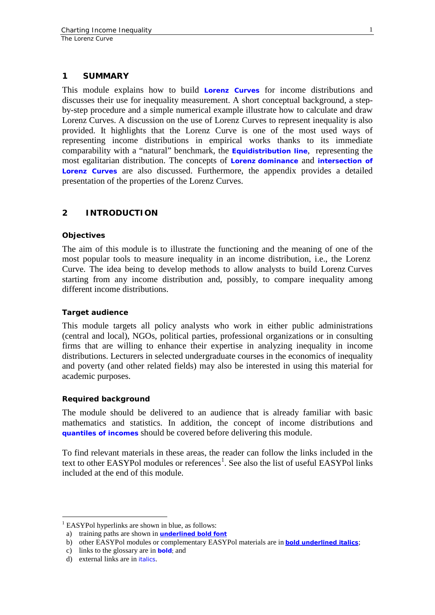#### **1 SUMMARY**

This module explains how to build **[Lorenz Curves](http://www.fao.org/tc/easypol/output/glossary_term.asp?id=14901)** for income distributions and discusses their use for inequality measurement. A short conceptual background, a stepby-step procedure and a simple numerical example illustrate how to calculate and draw Lorenz Curves. A discussion on the use of Lorenz Curves to represent inequality is also provided. It highlights that the Lorenz Curve is one of the most used ways of representing income distributions in empirical works thanks to its immediate comparability with a "natural" benchmark, the **[Equidistribution line](http://www.fao.org/tc/easypol/output/glossary_term.asp?id=14921)**, representing the most egalitarian distribution. The concepts of **Lorenz [dominance](http://www.fao.org/tc/easypol/output/glossary_term.asp?id=14922)** and **[intersection of](http://www.fao.org/tc/easypol/output/glossary_term.asp?id=14923)  [Lorenz Curves](http://www.fao.org/tc/easypol/output/glossary_term.asp?id=14923)** are also discussed. Furthermore, the appendix provides a detailed presentation of the properties of the Lorenz Curves.

#### **2 INTRODUCTION**

#### **Objectives**

The aim of this module is to illustrate the functioning and the meaning of one of the most popular tools to measure inequality in an income distribution, i.e., the Lorenz Curve. The idea being to develop methods to allow analysts to build Lorenz Curves starting from any income distribution and, possibly, to compare inequality among different income distributions.

#### **Target audience**

This module targets all policy analysts who work in either public administrations (central and local), NGOs, political parties, professional organizations or in consulting firms that are willing to enhance their expertise in analyzing inequality in income distributions. Lecturers in selected undergraduate courses in the economics of inequality and poverty (and other related fields) may also be interested in using this material for academic purposes.

#### **Required background**

The module should be delivered to an audience that is already familiar with basic mathematics and statistics. In addition, the concept of income distributions and **[quantiles of incomes](http://www.fao.org/tc/easypol/output/glossary_term.asp?id=14925)** should be covered before delivering this module.

To find relevant materials in these areas, the reader can follow the links included in the text to other EASYPol modules or references $^1$  $^1$ . See also the list of useful EASYPol links included at the end of this module.

<span id="page-3-0"></span><sup>&</sup>lt;sup>1</sup> EASYPol hyperlinks are shown in blue, as follows:

a) training paths are shown in **underlined bold font**

b) other EASYPol modules or complementary EASYPol materials are in *bold underlined italics*;

c) links to the glossary are in **bold**; and

d) external links are in *italics*.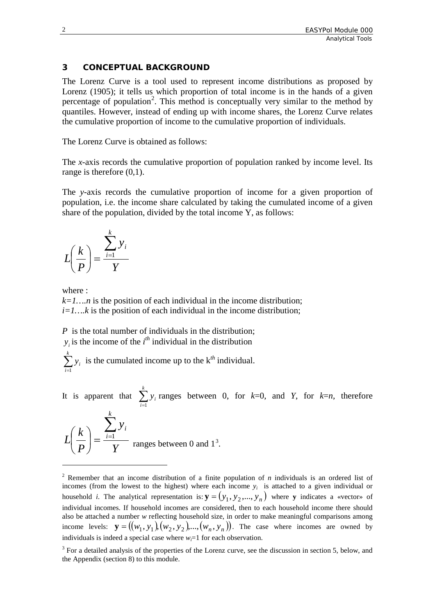#### **3 CONCEPTUAL BACKGROUND**

The Lorenz Curve is a tool used to represent income distributions as proposed by Lorenz (1905); it tells us which proportion of total income is in the hands of a given percentage of population<sup>[2](#page-4-0)</sup>. This method is conceptually very similar to the method by quantiles. However, instead of ending up with income shares, the Lorenz Curve relates the cumulative proportion of income to the cumulative proportion of individuals.

The Lorenz Curve is obtained as follows:

The *x*-axis records the cumulative proportion of population ranked by income level. Its range is therefore  $(0,1)$ .

The *y*-axis records the cumulative proportion of income for a given proportion of population, i.e. the income share calculated by taking the cumulated income of a given share of the population, divided by the total income Y, as follows:

$$
L\left(\frac{k}{P}\right) = \frac{\sum_{i=1}^{k} y_i}{Y}
$$

where :

-

 $k=1,...n$  is the position of each individual in the income distribution;  $i=1...k$  is the position of each individual in the income distribution;

*P* is the total number of individuals in the distribution;  $y_i$  is the income of the *i*<sup>th</sup> individual in the distribution

 $\sum_{i=1}^k$ *i*  $y_i$  is the cumulated income up to the  $k^{th}$  individual. 1

It is apparent that  $\sum_{i=1}^{k}$ *i i y* 1 ranges between 0, for *k*=0, and *Y*, for *k*=*n*, therefore

$$
L\left(\frac{k}{P}\right) = \frac{\sum_{i=1}^{k} y_i}{Y}
$$
 ranges between 0 and 1<sup>3</sup>.

<span id="page-4-0"></span><sup>2</sup> Remember that an income distribution of a finite population of *n* individuals is an ordered list of incomes (from the lowest to the highest) where each income  $y_i$  is attached to a given individual or household *i*. The analytical representation is:  $\mathbf{y} = (y_1, y_2, ..., y_n)$  where **y** indicates a «vector» of individual incomes. If household incomes are considered, then to each household income there should also be attached a number *w* reflecting household size, in order to make meaningful comparisons among income levels:  $\mathbf{y} = ((w_1, y_1), (w_2, y_2), ..., (w_n, y_n))$ . The case where incomes are owned by individuals is indeed a special case where  $w_i=1$  for each observation.

<span id="page-4-1"></span><sup>&</sup>lt;sup>3</sup> For a detailed analysis of the properties of the Lorenz curve, see the discussion in section 5, below, and the Appendix (section 8) to this module.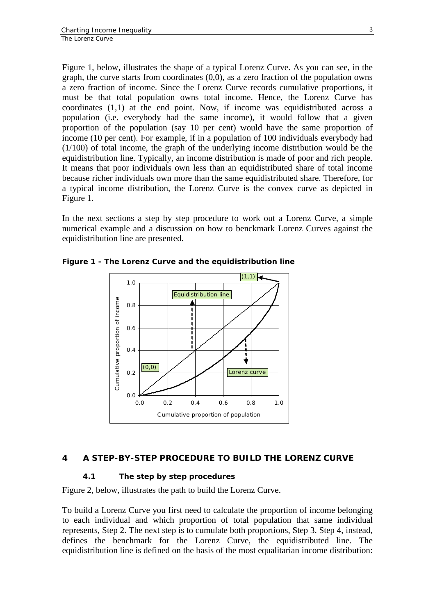Figure 1, below, illustrates the shape of a typical Lorenz Curve. As you can see, in the graph, the curve starts from coordinates (0,0), as a zero fraction of the population owns a zero fraction of income. Since the Lorenz Curve records cumulative proportions, it must be that total population owns total income. Hence, the Lorenz Curve has coordinates (1,1) at the end point. Now, if income was equidistributed across a population (i.e. everybody had the same income), it would follow that a given proportion of the population (say 10 per cent) would have the same proportion of income (10 per cent). For example, if in a population of 100 individuals everybody had (1/100) of total income, the graph of the underlying income distribution would be the equidistribution line. Typically, an income distribution is made of poor and rich people. It means that poor individuals own less than an equidistributed share of total income because richer individuals own more than the same equidistributed share. Therefore, for a typical income distribution, the Lorenz Curve is the convex curve as depicted in Figure 1.

In the next sections a step by step procedure to work out a Lorenz Curve, a simple numerical example and a discussion on how to benckmark Lorenz Curves against the equidistribution line are presented.



**Figure 1 - The Lorenz Curve and the equidistribution line**

#### **4 A STEP-BY-STEP PROCEDURE TO BUILD THE LORENZ CURVE**

#### **4.1 The step by step procedures**

Figure 2, below, illustrates the path to build the Lorenz Curve.

To build a Lorenz Curve you first need to calculate the proportion of income belonging to each individual and which proportion of total population that same individual represents, Step 2. The next step is to cumulate both proportions, Step 3. Step 4, instead, defines the benchmark for the Lorenz Curve, the equidistributed line. The equidistribution line is defined on the basis of the most equalitarian income distribution: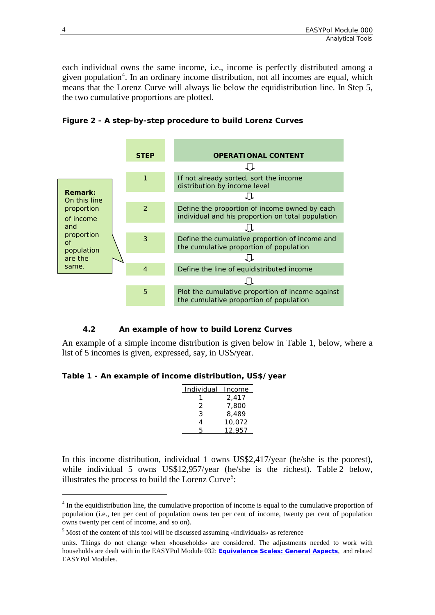each individual owns the same income, i.e., income is perfectly distributed among a given population<sup>[4](#page-6-0)</sup>. In an ordinary income distribution, not all incomes are equal, which means that the Lorenz Curve will always lie below the equidistribution line. In Step 5, the two cumulative proportions are plotted.



**Figure 2 - A step-by-step procedure to build Lorenz Curves**

#### **4.2 An example of how to build Lorenz Curves**

An example of a simple income distribution is given below in Table 1, below, where a list of 5 incomes is given, expressed, say, in US\$/year.

**Table 1 - An example of income distribution, US\$/year**

| Individual | Income |
|------------|--------|
|            | 2,417  |
| 2          | 7,800  |
| 3          | 8,489  |
| 4          | 10,072 |
| 5          | 12.957 |

In this income distribution, individual 1 owns US\$2,417/year (he/she is the poorest), while individual 5 owns US\$12,957/year (he/she is the richest). Table 2 below, illustrates the process to build the Lorenz Curve<sup>[5](#page-6-1)</sup>:

<span id="page-6-0"></span><sup>&</sup>lt;sup>4</sup> In the equidistribution line, the cumulative proportion of income is equal to the cumulative proportion of population (i.e., ten per cent of population owns ten per cent of income, twenty per cent of population owns twenty per cent of income, and so on).

<span id="page-6-1"></span><sup>5</sup> Most of the content of this tool will be discussed assuming «individuals» as reference

units. Things do not change when «households» are considered. The adjustments needed to work with households are dealt with in the EASYPol Module 032: *[Equivalence Scales: General Aspects](http://www.fao.org/docs/up/easypol/325/equiv_scales_general_032en.pdf)*, and related EASYPol Modules.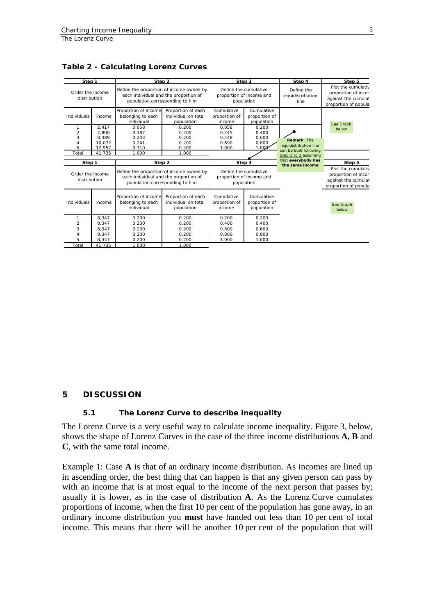| Step 1                                          |                                             | Step 2                                                                                                               |                                                         | Step 3                                                          |                                           | Step 4                                         | Step 5                                                                                   |
|-------------------------------------------------|---------------------------------------------|----------------------------------------------------------------------------------------------------------------------|---------------------------------------------------------|-----------------------------------------------------------------|-------------------------------------------|------------------------------------------------|------------------------------------------------------------------------------------------|
| Order the income<br>distribution                |                                             | Define the proportion of income owned by<br>each individual and the proportion of<br>population corresponding to him |                                                         | Define the cumulative<br>proportion of income and<br>population |                                           | Define the<br>equidistribution<br>line         | Plot the cumulativ<br>proportion of incon<br>against the cumulat<br>proportion of popula |
| Individuals                                     | Income                                      | Proportion of income<br>belonging to each<br>individual                                                              | Proportion of each<br>individual on total<br>population | Cumulative<br>proportion of<br>income                           | Cumulative<br>proportion of<br>population |                                                | See Graph                                                                                |
| 1<br>$\overline{2}$<br>3<br>$\overline{4}$<br>5 | 2,417<br>7.800<br>8.489<br>10.072<br>12.957 | 0.058<br>0.187<br>0.203<br>0.241<br>0.310                                                                            | 0.200<br>0.200<br>0.200<br>0.200<br>0.200               | 0.058<br>0.245<br>0.448<br>0.690<br>1.000                       | 0.200<br>0.400<br>0.600<br>0.800<br>1.000 | <b>Remark: The</b><br>equidistribution line    | below                                                                                    |
| Total                                           | 41.735                                      | 1.000                                                                                                                | 1.000                                                   |                                                                 |                                           | can be built following<br>Step 1 to 3 assuming |                                                                                          |
| Step 1                                          |                                             | Step 2                                                                                                               |                                                         | Step 3                                                          |                                           | that everybody has<br>the same income          | Step 5                                                                                   |
| Order the income<br>distribution                |                                             | Define the proportion of income owned by<br>each individual and the proportion of<br>population corresponding to him |                                                         | Define the cumulative<br>proportion of income and<br>population |                                           |                                                | Plot the cumulativ<br>proportion of incon<br>against the cumulat<br>proportion of popula |
| Individuals                                     | Income                                      | Proportion of income<br>belonging to each<br>individual                                                              | Proportion of each<br>individual on total<br>population | Cumulative<br>proportion of<br>income                           | Cumulative<br>proportion of<br>population |                                                | See Graph<br>below                                                                       |
| $\mathbf{1}$                                    | 8.347                                       | 0.200                                                                                                                | 0.200                                                   | 0.200                                                           | 0.200                                     |                                                |                                                                                          |
| $\overline{2}$                                  | 8.347                                       | 0.200                                                                                                                | 0.200                                                   | 0.400                                                           | 0.400                                     |                                                |                                                                                          |
| 3                                               | 8,347                                       | 0.200                                                                                                                | 0.200                                                   | 0.600                                                           | 0.600                                     |                                                |                                                                                          |
| $\overline{4}$<br>5                             | 8.347                                       | 0.200                                                                                                                | 0.200                                                   | 0.800                                                           | 0.800                                     |                                                |                                                                                          |
| Total                                           | 8.347<br>41.735                             | 0.200<br>1.000                                                                                                       | 0.200<br>1.000                                          | 1.000                                                           | 1.000                                     |                                                |                                                                                          |

**Table 2 - Calculating Lorenz Curves**

#### **5 DISCUSSION**

#### **5.1 The Lorenz Curve to describe inequality**

The Lorenz Curve is a very useful way to calculate income inequality. Figure 3, below, shows the shape of Lorenz Curves in the case of the three income distributions **A**, **B** and **C**, with the same total income.

Example 1: Case **A** is that of an ordinary income distribution. As incomes are lined up in ascending order, the best thing that can happen is that any given person can pass by with an income that is at most equal to the income of the next person that passes by; usually it is lower, as in the case of distribution **A**. As the Lorenz Curve cumulates proportions of income, when the first 10 per cent of the population has gone away, in an ordinary income distribution you **must** have handed out less than 10 per cent of total income. This means that there will be another 10 per cent of the population that will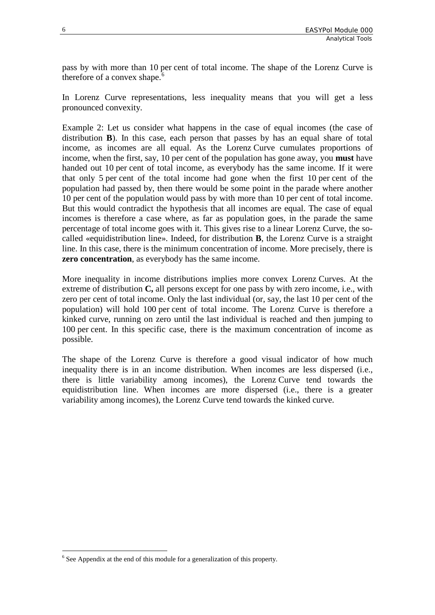pass by with more than 10 per cent of total income. The shape of the Lorenz Curve is therefore of a convex shape. $6$ 

In Lorenz Curve representations, less inequality means that you will get a less pronounced convexity.

Example 2: Let us consider what happens in the case of equal incomes (the case of distribution **B**). In this case, each person that passes by has an equal share of total income, as incomes are all equal. As the Lorenz Curve cumulates proportions of income, when the first, say, 10 per cent of the population has gone away, you **must** have handed out 10 per cent of total income, as everybody has the same income. If it were that only 5 per cent of the total income had gone when the first 10 per cent of the population had passed by, then there would be some point in the parade where another 10 per cent of the population would pass by with more than 10 per cent of total income. But this would contradict the hypothesis that all incomes are equal. The case of equal incomes is therefore a case where, as far as population goes, in the parade the same percentage of total income goes with it. This gives rise to a linear Lorenz Curve, the socalled «equidistribution line». Indeed, for distribution **B**, the Lorenz Curve is a straight line. In this case, there is the minimum concentration of income. More precisely, there is **zero concentration**, as everybody has the same income.

More inequality in income distributions implies more convex Lorenz Curves. At the extreme of distribution **C,** all persons except for one pass by with zero income, i.e., with zero per cent of total income. Only the last individual (or, say, the last 10 per cent of the population) will hold 100 per cent of total income. The Lorenz Curve is therefore a kinked curve, running on zero until the last individual is reached and then jumping to 100 per cent. In this specific case, there is the maximum concentration of income as possible.

The shape of the Lorenz Curve is therefore a good visual indicator of how much inequality there is in an income distribution. When incomes are less dispersed (i.e., there is little variability among incomes), the Lorenz Curve tend towards the equidistribution line. When incomes are more dispersed (i.e., there is a greater variability among incomes), the Lorenz Curve tend towards the kinked curve.

<span id="page-8-0"></span> $6$  See Appendix at the end of this module for a generalization of this property.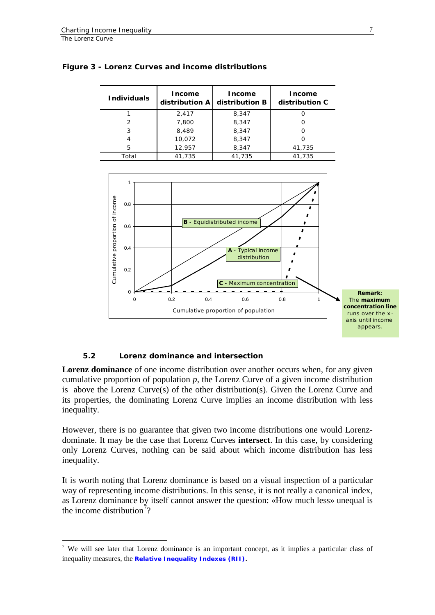| <b>Individuals</b> | Income<br>distribution A | Income<br>distribution B | <b>Income</b><br>distribution C |  |
|--------------------|--------------------------|--------------------------|---------------------------------|--|
|                    | 2,417                    | 8,347                    |                                 |  |
| 2                  | 7,800                    | 8,347                    |                                 |  |
| 3                  | 8,489                    | 8,347                    |                                 |  |
| 4                  | 10,072                   | 8,347                    |                                 |  |
| 5                  | 12,957                   | 8,347                    | 41,735                          |  |
| Total              | 41,735                   | 41,735                   | 41,735                          |  |





#### **5.2 Lorenz dominance and intersection**

**Lorenz dominance** of one income distribution over another occurs when, for any given cumulative proportion of population *p*, the Lorenz Curve of a given income distribution is above the Lorenz Curve(s) of the other distribution(s). Given the Lorenz Curve and its properties, the dominating Lorenz Curve implies an income distribution with less inequality.

However, there is no guarantee that given two income distributions one would Lorenzdominate. It may be the case that Lorenz Curves **intersect**. In this case, by considering only Lorenz Curves, nothing can be said about which income distribution has less inequality.

It is worth noting that Lorenz dominance is based on a visual inspection of a particular way of representing income distributions. In this sense, it is not really a canonical index, as Lorenz dominance by itself cannot answer the question: «How much less» unequal is the income distribution<sup>[7](#page-9-0)</sup>?

<span id="page-9-0"></span> <sup>7</sup> We will see later that Lorenz dominance is an important concept, as it implies a particular class of inequality measures, the **[Relative Inequality Indexes \(RII\)](http://www.fao.org/tc/easypol/output/glossary_term.asp?id=14926)**.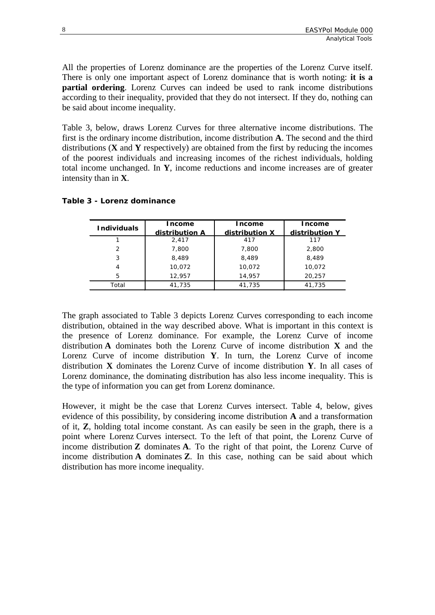All the properties of Lorenz dominance are the properties of the Lorenz Curve itself. There is only one important aspect of Lorenz dominance that is worth noting: **it is a partial ordering**. Lorenz Curves can indeed be used to rank income distributions according to their inequality, provided that they do not intersect. If they do, nothing can be said about income inequality.

Table 3, below, draws Lorenz Curves for three alternative income distributions. The first is the ordinary income distribution, income distribution **A**. The second and the third distributions (**X** and **Y** respectively) are obtained from the first by reducing the incomes of the poorest individuals and increasing incomes of the richest individuals, holding total income unchanged. In **Y**, income reductions and income increases are of greater intensity than in **X**.

| <b>Individuals</b> | <b>Income</b>  | <b>Income</b>  | Income         |
|--------------------|----------------|----------------|----------------|
|                    | distribution A | distribution X | distribution Y |
|                    | 2,417          | 417            | 117            |
| 2                  | 7,800          | 7,800          | 2,800          |
| 3                  | 8,489          | 8,489          | 8,489          |
| 4                  | 10,072         | 10,072         | 10,072         |
| 5                  | 12.957         | 14,957         | 20,257         |
| Total              | 41,735         | 41,735         | 41.735         |

#### **Table 3 - Lorenz dominance**

The graph associated to Table 3 depicts Lorenz Curves corresponding to each income distribution, obtained in the way described above. What is important in this context is the presence of Lorenz dominance. For example, the Lorenz Curve of income distribution **A** dominates both the Lorenz Curve of income distribution **X** and the Lorenz Curve of income distribution **Y**. In turn, the Lorenz Curve of income distribution **X** dominates the Lorenz Curve of income distribution **Y**. In all cases of Lorenz dominance, the dominating distribution has also less income inequality. This is the type of information you can get from Lorenz dominance.

However, it might be the case that Lorenz Curves intersect. Table 4, below, gives evidence of this possibility, by considering income distribution **A** and a transformation of it, **Z**, holding total income constant. As can easily be seen in the graph, there is a point where Lorenz Curves intersect. To the left of that point, the Lorenz Curve of income distribution **Z** dominates **A**. To the right of that point, the Lorenz Curve of income distribution **A** dominates **Z**. In this case, nothing can be said about which distribution has more income inequality.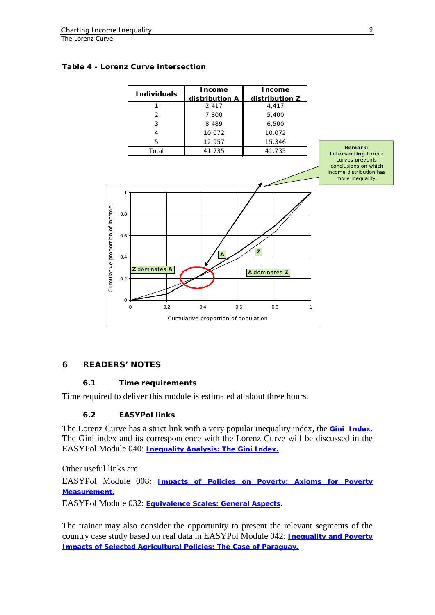#### **Table 4 - Lorenz Curve intersection**



#### **6 READERS' NOTES**

#### **6.1 Time requirements**

Time required to deliver this module is estimated at about three hours.

#### **6.2 EASYPol links**

The Lorenz Curve has a strict link with a very popular inequality index, the **[Gini Index](http://www.fao.org/tc/easypol/output/glossary_term.asp?id=14927)**. The Gini index and its correspondence with the Lorenz Curve will be discussed in the EASYPol Module 040: *[Inequality Analysis: The Gini Index.](http://www.fao.org/docs/up/easypol/329/gini_index_040en.pdf)*

Other useful links are:

EASYPol Module 008: *[Impacts of Policies on Poverty: Axioms for Poverty](http://www.fao.org/docs/up/easypol/321/axioms_pov_msmt_008en.pdf)  [Measurement](http://www.fao.org/docs/up/easypol/321/axioms_pov_msmt_008en.pdf)*.

EASYPol Module 032: *[Equivalence Scales: General Aspects](http://www.fao.org/docs/up/easypol/325/equiv_scales_general_032en.pdf)*.

The trainer may also consider the opportunity to present the relevant segments of the country case study based on real data in EASYPol Module 042: *[Inequality and Poverty](http://www.fao.org/docs/up/easypol/320/paraguay_cs_042en.pdf)  [Impacts of Selected Agricultural Policies:](http://www.fao.org/docs/up/easypol/320/paraguay_cs_042en.pdf) The Case of Paraguay.*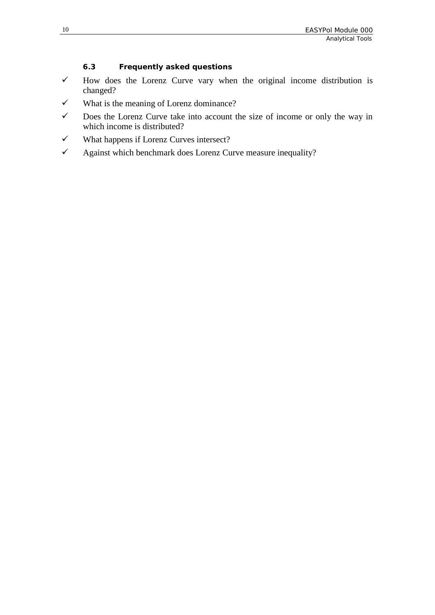#### **6.3 Frequently asked questions**

- $\checkmark$  How does the Lorenz Curve vary when the original income distribution is changed?
- $\checkmark$  What is the meaning of Lorenz dominance?
- $\checkmark$  Does the Lorenz Curve take into account the size of income or only the way in which income is distributed?
- $\checkmark$  What happens if Lorenz Curves intersect?
- $\checkmark$  Against which benchmark does Lorenz Curve measure inequality?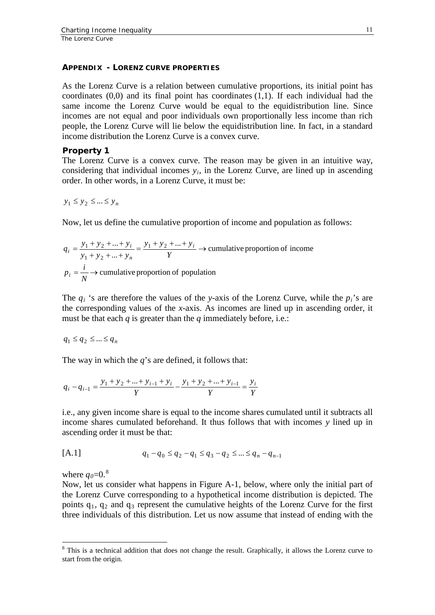#### **APPENDIX - LORENZ CURVE PROPERTIES**

As the Lorenz Curve is a relation between cumulative proportions, its initial point has coordinates  $(0,0)$  and its final point has coordinates  $(1,1)$ . If each individual had the same income the Lorenz Curve would be equal to the equidistribution line. Since incomes are not equal and poor individuals own proportionally less income than rich people, the Lorenz Curve will lie below the equidistribution line. In fact, in a standard income distribution the Lorenz Curve is a convex curve.

#### **Property 1**

The Lorenz Curve is a convex curve. The reason may be given in an intuitive way, considering that individual incomes  $y_i$ , in the Lorenz Curve, are lined up in ascending order. In other words, in a Lorenz Curve, it must be:

 $y_1 \le y_2 \le ... \le y_n$ 

Now, let us define the cumulative proportion of income and population as follows:

$$
q_i = \frac{y_1 + y_2 + \dots + y_i}{y_1 + y_2 + \dots + y_n} = \frac{y_1 + y_2 + \dots + y_i}{Y} \rightarrow \text{cumulative proportion of income}
$$
  

$$
p_i = \frac{i}{N} \rightarrow \text{cumulative proportion of population}
$$

The  $q_i$  's are therefore the values of the *y*-axis of the Lorenz Curve, while the  $p_i$ 's are the corresponding values of the *x*-axis. As incomes are lined up in ascending order, it must be that each *q* is greater than the *q* immediately before, i.e.:

$$
q_1\leq q_2\leq \ldots \leq q_n
$$

The way in which the *q*'s are defined, it follows that:

$$
q_i - q_{i-1} = \frac{y_1 + y_2 + \dots + y_{i-1} + y_i}{Y} - \frac{y_1 + y_2 + \dots + y_{i-1}}{Y} = \frac{y_i}{Y}
$$

i.e., any given income share is equal to the income shares cumulated until it subtracts all income shares cumulated beforehand. It thus follows that with incomes *y* lined up in ascending order it must be that:

[A.1] 
$$
q_1 - q_0 \le q_2 - q_1 \le q_3 - q_2 \le \dots \le q_n - q_{n-1}
$$

where  $q_0$ =0.<sup>[8](#page-13-0)</sup>

Now, let us consider what happens in Figure A-1, below, where only the initial part of the Lorenz Curve corresponding to a hypothetical income distribution is depicted. The points  $q_1$ ,  $q_2$  and  $q_3$  represent the cumulative heights of the Lorenz Curve for the first three individuals of this distribution. Let us now assume that instead of ending with the

<span id="page-13-0"></span><sup>&</sup>lt;sup>8</sup> This is a technical addition that does not change the result. Graphically, it allows the Lorenz curve to start from the origin.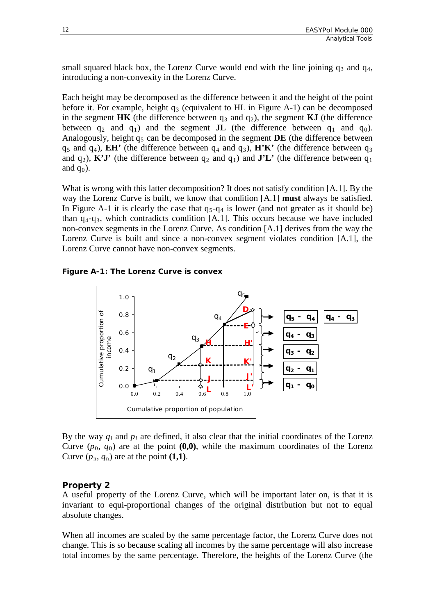small squared black box, the Lorenz Curve would end with the line joining  $q_3$  and  $q_4$ , introducing a non-convexity in the Lorenz Curve.

Each height may be decomposed as the difference between it and the height of the point before it. For example, height  $q_3$  (equivalent to HL in Figure A-1) can be decomposed in the segment  $H\mathbf{K}$  (the difference between  $q_3$  and  $q_2$ ), the segment  $\mathbf{K}$ **J** (the difference between  $q_2$  and  $q_1$ ) and the segment **JL** (the difference between  $q_1$  and  $q_0$ ). Analogously, height  $q_5$  can be decomposed in the segment  $DE$  (the difference between  $q_5$  and  $q_4$ ), **EH'** (the difference between  $q_4$  and  $q_3$ ), **H'K'** (the difference between  $q_3$ and  $q_2$ ), **K'J'** (the difference between  $q_2$  and  $q_1$ ) and **J'L'** (the difference between  $q_1$ and  $q_0$ ).

What is wrong with this latter decomposition? It does not satisfy condition [A.1]. By the way the Lorenz Curve is built, we know that condition [A.1] **must** always be satisfied. In Figure A-1 it is clearly the case that  $q_5-q_4$  is lower (and not greater as it should be) than  $q_4 - q_3$ , which contradicts condition [A.1]. This occurs because we have included non-convex segments in the Lorenz Curve. As condition [A.1] derives from the way the Lorenz Curve is built and since a non-convex segment violates condition [A.1], the Lorenz Curve cannot have non-convex segments.

**Figure A-1: The Lorenz Curve is convex**



By the way  $q_i$  and  $p_i$  are defined, it also clear that the initial coordinates of the Lorenz Curve  $(p_0, q_0)$  are at the point  $(0,0)$ , while the maximum coordinates of the Lorenz Curve  $(p_n, q_n)$  are at the point  $(1,1)$ .

#### **Property 2**

A useful property of the Lorenz Curve, which will be important later on, is that it is invariant to equi-proportional changes of the original distribution but not to equal absolute changes.

When all incomes are scaled by the same percentage factor, the Lorenz Curve does not change. This is so because scaling all incomes by the same percentage will also increase total incomes by the same percentage. Therefore, the heights of the Lorenz Curve (the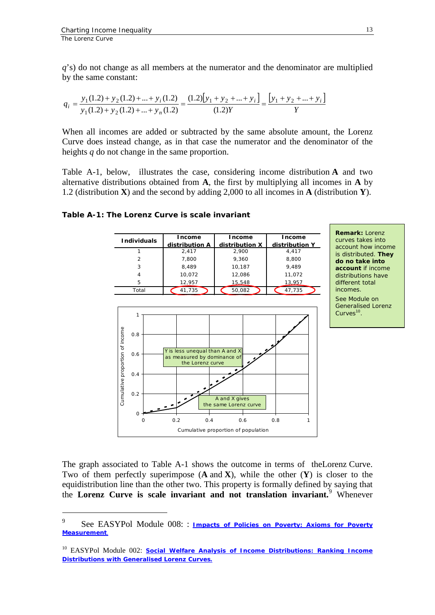*q*'s) do not change as all members at the numerator and the denominator are multiplied by the same constant:

$$
q_i = \frac{y_1(1.2) + y_2(1.2) + \dots + y_i(1.2)}{y_1(1.2) + y_2(1.2) + \dots + y_n(1.2)} = \frac{(1.2)[y_1 + y_2 + \dots + y_i]}{(1.2)Y} = \frac{[y_1 + y_2 + \dots + y_i]}{Y}
$$

When all incomes are added or subtracted by the same absolute amount, the Lorenz Curve does instead change, as in that case the numerator and the denominator of the heights *q* do not change in the same proportion.

Table A-1, below, illustrates the case, considering income distribution **A** and two alternative distributions obtained from **A**, the first by multiplying all incomes in **A** by 1.2 (distribution **X**) and the second by adding 2,000 to all incomes in **A** (distribution **Y**).



**Table A-1: The Lorenz Curve is scale invariant**

The graph associated to Table A-1 shows the outcome in terms of theLorenz Curve. Two of them perfectly superimpose (**A** and **X**), while the other (**Y**) is closer to the equidistribution line than the other two. This property is formally defined by saying that the **Lorenz Curve is scale invariant and not translation invariant.**[9](#page-15-0) Whenever

<span id="page-15-0"></span><sup>–&</sup>lt;br>9 See EASYPol Module 008: : *Impacts of Policies on Poverty: Axioms for Poverty [Measurement](http://www.fao.org/docs/up/easypol/321/axioms_pov_msmt_008en.pdf)*.

<sup>&</sup>lt;sup>10</sup> EASYPol Module 002: **Social Welfare Analysis of Income Distributions: Ranking Income** *[Distributions with Generalised Lorenz Curves](http://www.fao.org/docs/up/easypol/306/swa_gen_lorenzcurves_002en.pdf).*